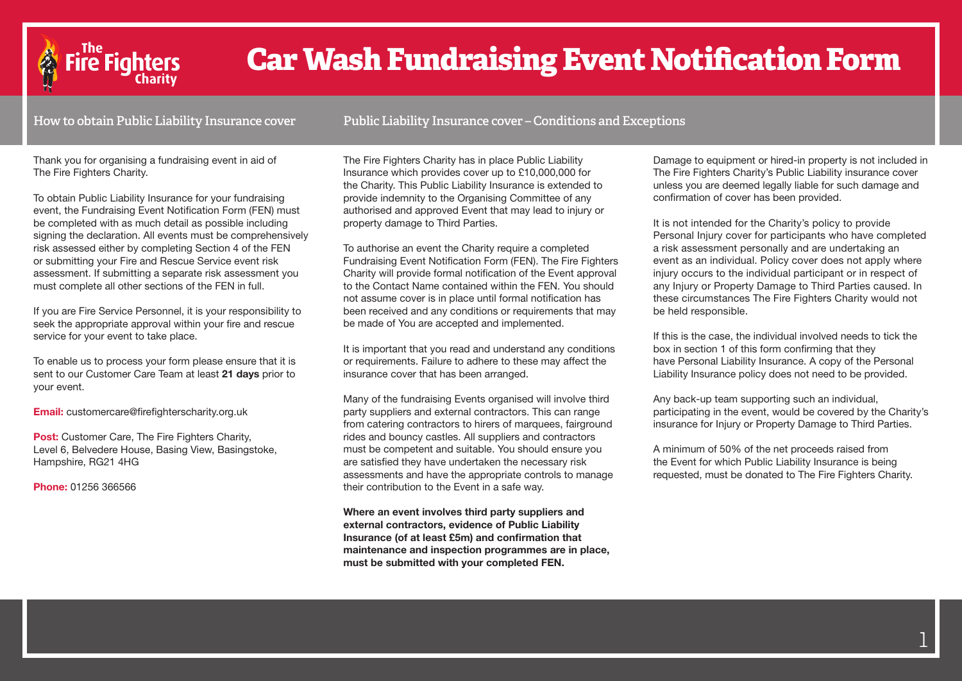

# **Car Wash Fundraising Event Notification Form**

**How to obtain Public Liability Insurance cover**

**Public Liability Insurance cover – Conditions and Exceptions**

Thank you for organising a fundraising event in aid of The Fire Fighters Charity.

To obtain Public Liability Insurance for your fundraising event, the Fundraising Event Notification Form (FEN) must be completed with as much detail as possible including signing the declaration. All events must be comprehensively risk assessed either by completing Section 4 of the FEN or submitting your Fire and Rescue Service event risk assessment. If submitting a separate risk assessment you must complete all other sections of the FEN in full.

If you are Fire Service Personnel, it is your responsibility to seek the appropriate approval within your fire and rescue service for your event to take place.

To enable us to process your form please ensure that it is sent to our Customer Care Team at least **21 days** prior to your event.

**Email:** customercare@firefighterscharity.org.uk

**Post:** Customer Care, The Fire Fighters Charity, Level 6, Belvedere House, Basing View, Basingstoke, Hampshire, RG21 4HG

**Phone:** 01256 366566

The Fire Fighters Charity has in place Public Liability Insurance which provides cover up to £10,000,000 for the Charity. This Public Liability Insurance is extended to provide indemnity to the Organising Committee of any authorised and approved Event that may lead to injury or property damage to Third Parties.

To authorise an event the Charity require a completed Fundraising Event Notification Form (FEN). The Fire Fighters Charity will provide formal notification of the Event approval to the Contact Name contained within the FEN. You should not assume cover is in place until formal notification has been received and any conditions or requirements that may be made of You are accepted and implemented.

It is important that you read and understand any conditions or requirements. Failure to adhere to these may affect the insurance cover that has been arranged.

Many of the fundraising Events organised will involve third party suppliers and external contractors. This can range from catering contractors to hirers of marquees, fairground rides and bouncy castles. All suppliers and contractors must be competent and suitable. You should ensure you are satisfied they have undertaken the necessary risk assessments and have the appropriate controls to manage their contribution to the Event in a safe way.

**Where an event involves third party suppliers and external contractors, evidence of Public Liability Insurance (of at least £5m) and confirmation that maintenance and inspection programmes are in place, must be submitted with your completed FEN.** 

Damage to equipment or hired-in property is not included in The Fire Fighters Charity's Public Liability insurance cover unless you are deemed legally liable for such damage and confirmation of cover has been provided.

It is not intended for the Charity's policy to provide Personal Injury cover for participants who have completed a risk assessment personally and are undertaking an event as an individual. Policy cover does not apply where injury occurs to the individual participant or in respect of any Injury or Property Damage to Third Parties caused. In these circumstances The Fire Fighters Charity would not be held responsible.

If this is the case, the individual involved needs to tick the box in section 1 of this form confirming that they have Personal Liability Insurance. A copy of the Personal Liability Insurance policy does not need to be provided.

Any back-up team supporting such an individual, participating in the event, would be covered by the Charity's insurance for Injury or Property Damage to Third Parties.

A minimum of 50% of the net proceeds raised from the Event for which Public Liability Insurance is being requested, must be donated to The Fire Fighters Charity.

1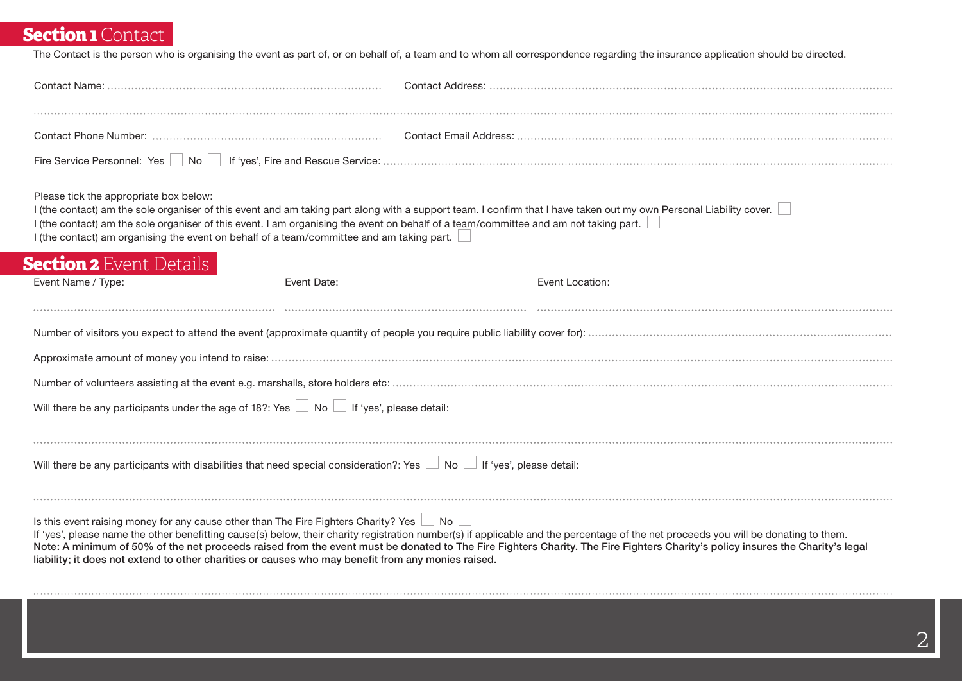# **Section 1 Contact**

The Contact is the person who is organising the event as part of, or on behalf of, a team and to whom all correspondence regarding the insurance application should be directed.

| Please tick the appropriate box below:<br>I (the contact) am the sole organiser of this event. I am organising the event on behalf of a team/committee and am not taking part.<br>I (the contact) am organising the event on behalf of a team/committee and am taking part. | I (the contact) am the sole organiser of this event and am taking part along with a support team. I confirm that I have taken out my own Personal Liability cover.                                                                                                                                                                                                   |
|-----------------------------------------------------------------------------------------------------------------------------------------------------------------------------------------------------------------------------------------------------------------------------|----------------------------------------------------------------------------------------------------------------------------------------------------------------------------------------------------------------------------------------------------------------------------------------------------------------------------------------------------------------------|
| <b>Section 2</b> Event Details<br>Event Name / Type:<br>Event Date:                                                                                                                                                                                                         | Event Location:                                                                                                                                                                                                                                                                                                                                                      |
|                                                                                                                                                                                                                                                                             |                                                                                                                                                                                                                                                                                                                                                                      |
|                                                                                                                                                                                                                                                                             |                                                                                                                                                                                                                                                                                                                                                                      |
|                                                                                                                                                                                                                                                                             |                                                                                                                                                                                                                                                                                                                                                                      |
|                                                                                                                                                                                                                                                                             |                                                                                                                                                                                                                                                                                                                                                                      |
| Will there be any participants under the age of 18?: Yes $\Box$ No $\Box$ If 'yes', please detail:                                                                                                                                                                          |                                                                                                                                                                                                                                                                                                                                                                      |
|                                                                                                                                                                                                                                                                             |                                                                                                                                                                                                                                                                                                                                                                      |
| Will there be any participants with disabilities that need special consideration?: Yes No Supers', please detail:                                                                                                                                                           |                                                                                                                                                                                                                                                                                                                                                                      |
|                                                                                                                                                                                                                                                                             |                                                                                                                                                                                                                                                                                                                                                                      |
| Is this event raising money for any cause other than The Fire Fighters Charity? Yes $\Box$ No $\Box$<br>liability; it does not extend to other charities or causes who may benefit from any monies raised.                                                                  | If 'yes', please name the other benefitting cause(s) below, their charity registration number(s) if applicable and the percentage of the net proceeds you will be donating to them.<br>Note: A minimum of 50% of the net proceeds raised from the event must be donated to The Fire Fighters Charity. The Fire Fighters Charity's policy insures the Charity's legal |
|                                                                                                                                                                                                                                                                             |                                                                                                                                                                                                                                                                                                                                                                      |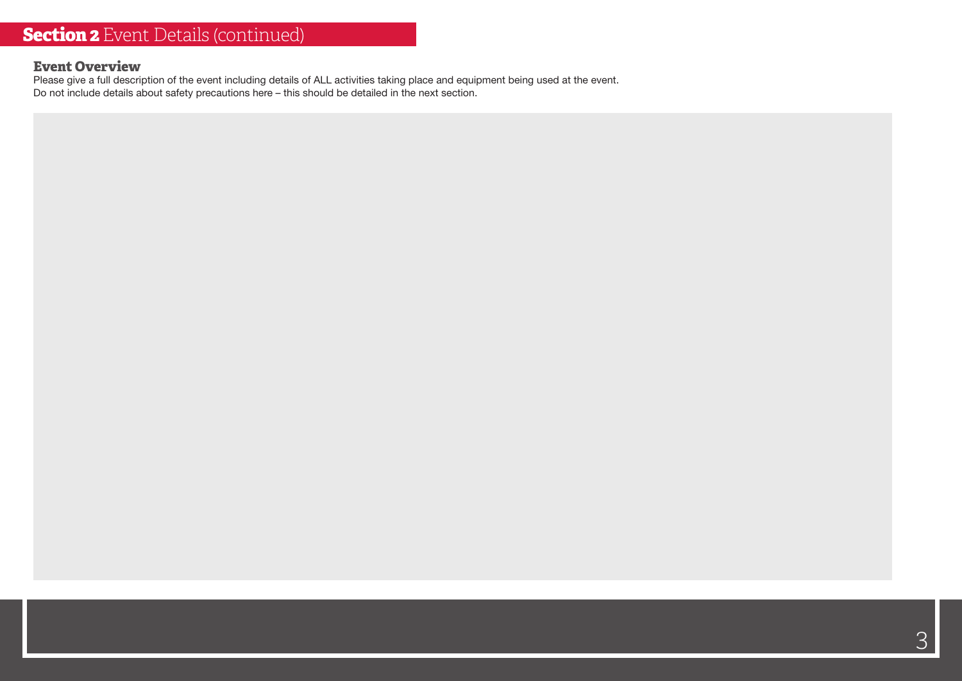#### **Event Overview**

Please give a full description of the event including details of ALL activities taking place and equipment being used at the event. Do not include details about safety precautions here – this should be detailed in the next section.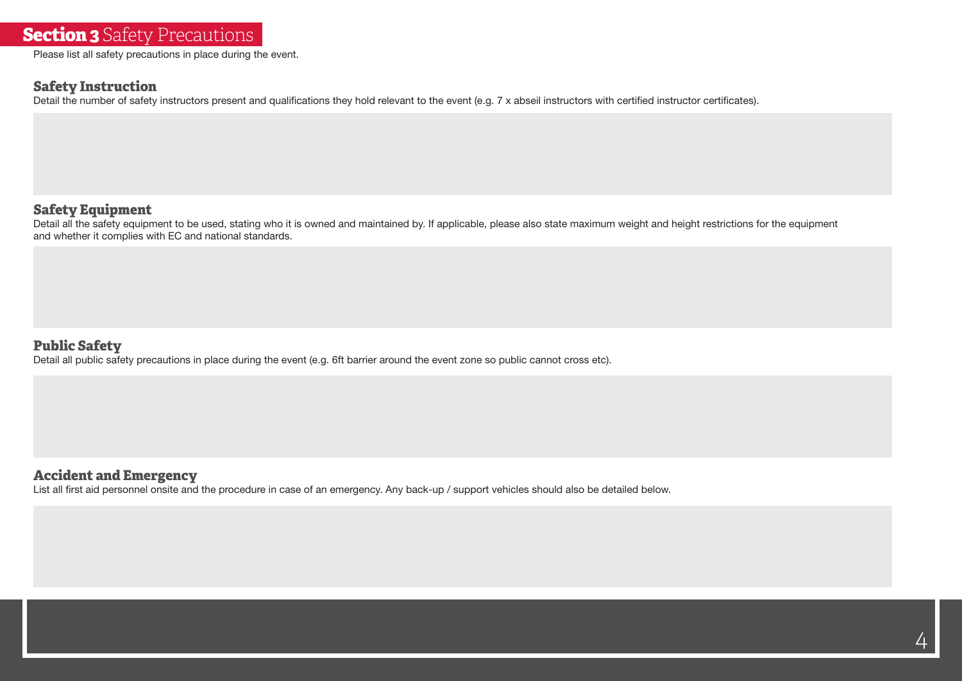## **Section 3** Safety Precautions

Please list all safety precautions in place during the event.

#### **Safety Instruction**

Detail the number of safety instructors present and qualifications they hold relevant to the event (e.g. 7 x abseil instructors with certified instructor certificates).

#### **Safety Equipment**

Detail all the safety equipment to be used, stating who it is owned and maintained by. If applicable, please also state maximum weight and height restrictions for the equipment and whether it complies with EC and national standards.

#### **Public Safety**

Detail all public safety precautions in place during the event (e.g. 6ft barrier around the event zone so public cannot cross etc).

#### **Accident and Emergency**

List all first aid personnel onsite and the procedure in case of an emergency. Any back-up / support vehicles should also be detailed below.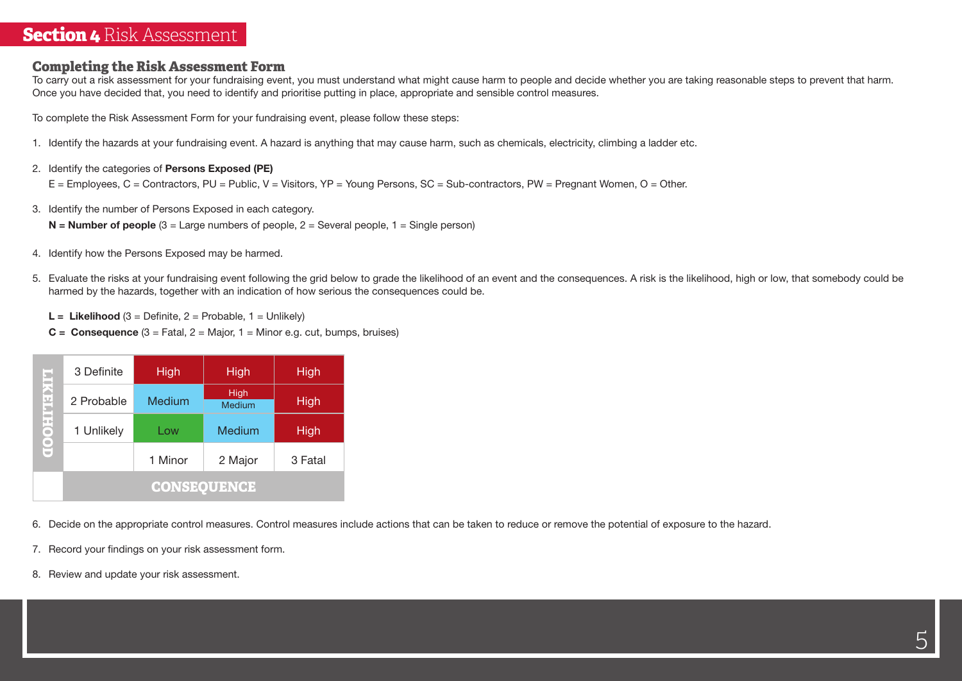### **Section 4** Risk Assessment

#### **Completing the Risk Assessment Form**

To carry out a risk assessment for your fundraising event, you must understand what might cause harm to people and decide whether you are taking reasonable steps to prevent that harm. Once you have decided that, you need to identify and prioritise putting in place, appropriate and sensible control measures.

To complete the Risk Assessment Form for your fundraising event, please follow these steps:

- 1. Identify the hazards at your fundraising event. A hazard is anything that may cause harm, such as chemicals, electricity, climbing a ladder etc.
- 2. Identify the categories of **Persons Exposed (PE)**

E = Employees, C = Contractors, PU = Public, V = Visitors, YP = Young Persons, SC = Sub-contractors, PW = Pregnant Women, O = Other.

3. Identify the number of Persons Exposed in each category.

**N = Number of people** (3 = Large numbers of people, 2 = Several people, 1 = Single person)

- 4. Identify how the Persons Exposed may be harmed.
- 5. Evaluate the risks at your fundraising event following the grid below to grade the likelihood of an event and the consequences. A risk is the likelihood, high or low, that somebody could be harmed by the hazards, together with an indication of how serious the consequences could be.
	- **L** = **Likelihood**  $(3 = \text{Definite}, 2 = \text{Probable}, 1 = \text{Unlike}|v)$
	- **C = Consequence**  $(3 = \text{Fatal}, 2 = \text{Major}, 1 = \text{Minor e.g. cut}, \text{bumps}, \text{bruisse})$

|    |                                                                       | 3 Definite | High    | High                         | High    |  |  |  |  |  |
|----|-----------------------------------------------------------------------|------------|---------|------------------------------|---------|--|--|--|--|--|
|    |                                                                       | 2 Probable | Medium  | <b>High</b><br><b>Medium</b> | High    |  |  |  |  |  |
|    | <b>LIKELIHOOD</b>                                                     | 1 Unlikely | Low     | Medium                       | High    |  |  |  |  |  |
|    |                                                                       |            | 1 Minor | 2 Major                      | 3 Fatal |  |  |  |  |  |
|    | <b>CONSEQUENCE</b>                                                    |            |         |                              |         |  |  |  |  |  |
|    | Decide on the appropriate control measures. Control measures in<br>6. |            |         |                              |         |  |  |  |  |  |
|    | Record your findings on your risk assessment form.<br>7.              |            |         |                              |         |  |  |  |  |  |
| 8. | Review and update your risk assessment.                               |            |         |                              |         |  |  |  |  |  |

- 6. Decide on the appropriate control measures. Control measures include actions that can be taken to reduce or remove the potential of exposure to the hazard.
- 7. Record your findings on your risk assessment form.
-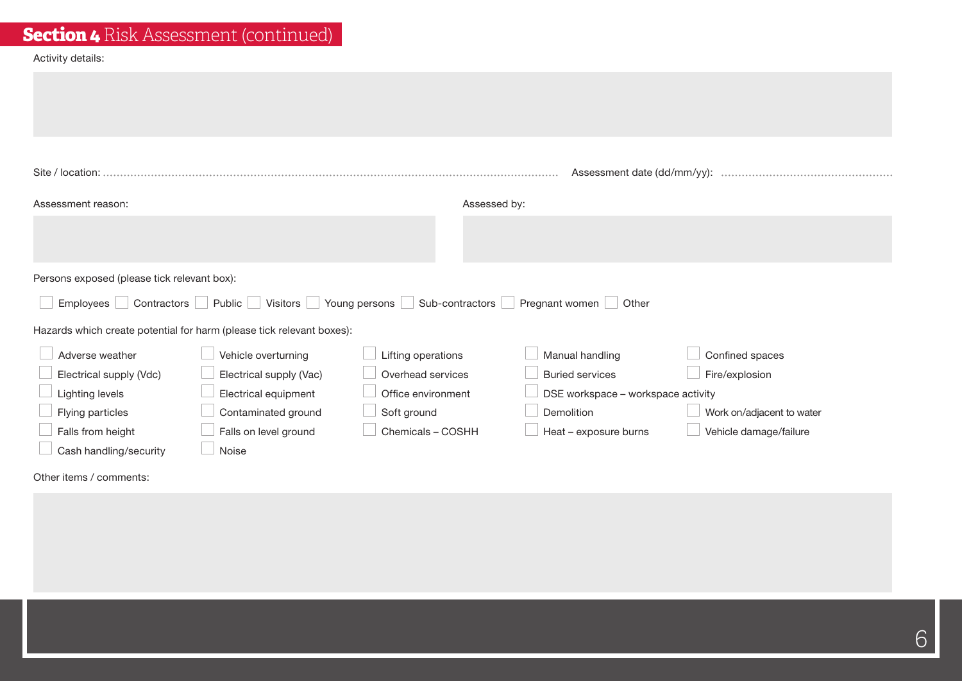| <b>Section 4</b> Risk Assessment (continued) |  |  |
|----------------------------------------------|--|--|
|----------------------------------------------|--|--|

#### Activity details:

| Site / location:                            |                                                                       |                                 | Assessment date (dd/mm/yy):             |                           |
|---------------------------------------------|-----------------------------------------------------------------------|---------------------------------|-----------------------------------------|---------------------------|
| Assessment reason:                          |                                                                       | Assessed by:                    |                                         |                           |
|                                             |                                                                       |                                 |                                         |                           |
|                                             |                                                                       |                                 |                                         |                           |
| Persons exposed (please tick relevant box): |                                                                       |                                 |                                         |                           |
| Contractors<br>Employees                    | Public Visitors                                                       | Young persons   Sub-contractors | Pregnant women <b>J</b> Other<br>$\sim$ |                           |
|                                             | Hazards which create potential for harm (please tick relevant boxes): |                                 |                                         |                           |
| Adverse weather                             | Vehicle overturning                                                   | Lifting operations              | Manual handling                         | Confined spaces           |
| Electrical supply (Vdc)                     | Electrical supply (Vac)                                               | Overhead services               | <b>Buried services</b>                  | Fire/explosion            |
| <b>Lighting levels</b>                      | Electrical equipment                                                  | Office environment              | DSE workspace - workspace activity      |                           |
| Flying particles                            | Contaminated ground                                                   | Soft ground                     | Demolition                              | Work on/adjacent to water |
| Falls from height                           | Falls on level ground                                                 | Chemicals - COSHH               | Heat - exposure burns                   | Vehicle damage/failure    |
| Cash handling/security                      | Noise                                                                 |                                 |                                         |                           |

Other items / comments:

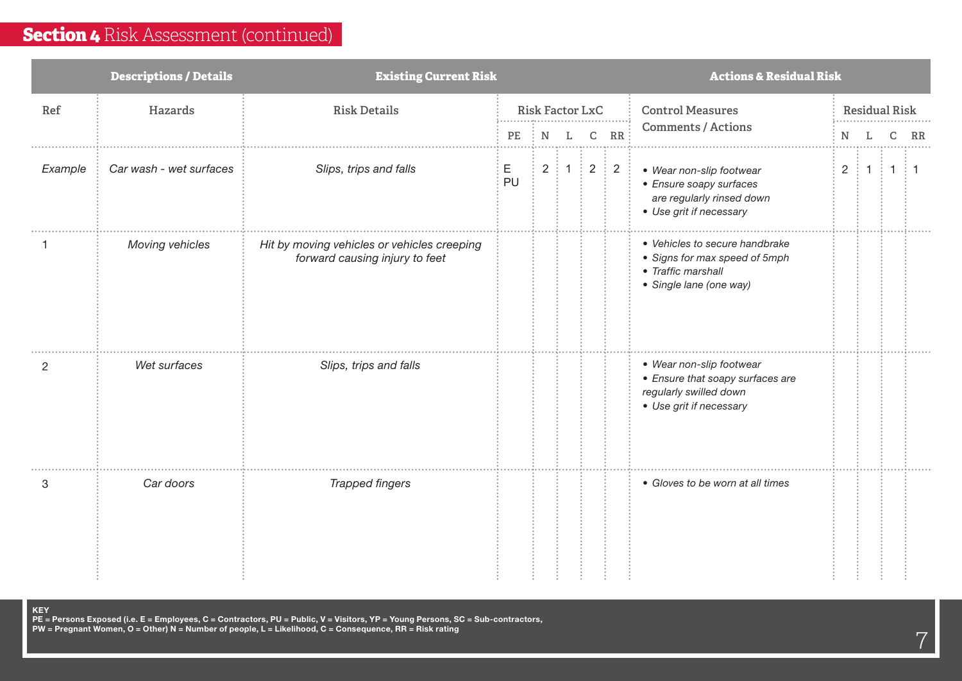|         | <b>Descriptions / Details</b> | <b>Existing Current Risk</b>                                                  |         |   |                             |   |    | <b>Actions &amp; Residual Risk</b>                                                                                |                       |                      |  |         |  |  |  |
|---------|-------------------------------|-------------------------------------------------------------------------------|---------|---|-----------------------------|---|----|-------------------------------------------------------------------------------------------------------------------|-----------------------|----------------------|--|---------|--|--|--|
| Ref     | Hazards                       | <b>Risk Details</b>                                                           |         |   | <b>Risk Factor LxC</b>      |   |    | <b>Control Measures</b>                                                                                           |                       | <b>Residual Risk</b> |  |         |  |  |  |
|         |                               |                                                                               | PE      | N | L                           | C | RR | <b>Comments / Actions</b>                                                                                         | N<br>$_{\rm RR}$<br>C |                      |  |         |  |  |  |
| Example | Car wash - wet surfaces       | Slips, trips and falls                                                        | Е<br>PU |   | $2 \nmid 1 \nmid 2 \nmid 2$ |   |    | • Wear non-slip footwear<br>• Ensure soapy surfaces<br>are regularly rinsed down<br>• Use grit if necessary       |                       | 2 : 1 : 1            |  | $\pm$ 1 |  |  |  |
|         | Moving vehicles               | Hit by moving vehicles or vehicles creeping<br>forward causing injury to feet |         |   |                             |   |    | • Vehicles to secure handbrake<br>• Signs for max speed of 5mph<br>• Traffic marshall<br>• Single lane (one way)  |                       |                      |  |         |  |  |  |
| 2       | Wet surfaces                  | Slips, trips and falls                                                        |         |   |                             |   |    | • Wear non-slip footwear<br>• Ensure that soapy surfaces are<br>regularly swilled down<br>• Use grit if necessary |                       |                      |  |         |  |  |  |
| 3       | Car doors                     | <b>Trapped fingers</b>                                                        |         |   |                             |   |    | • Gloves to be worn at all times                                                                                  |                       |                      |  |         |  |  |  |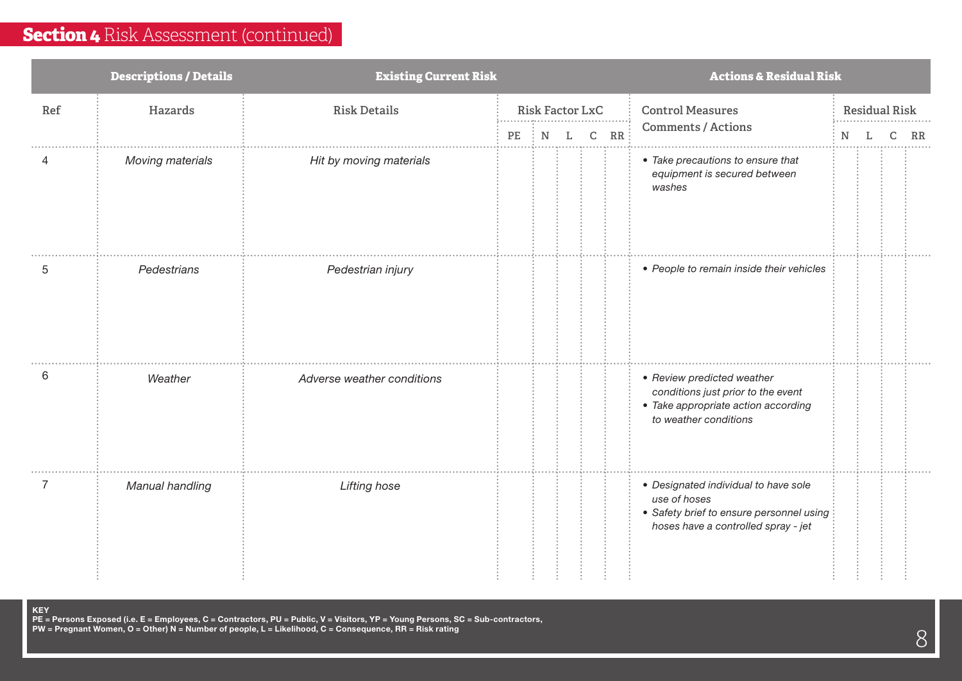|     | <b>Descriptions / Details</b> | <b>Existing Current Risk</b> | <b>Actions &amp; Residual Risk</b> |                              |    |   |     |                                                                                                                                         |                      |  |             |
|-----|-------------------------------|------------------------------|------------------------------------|------------------------------|----|---|-----|-----------------------------------------------------------------------------------------------------------------------------------------|----------------------|--|-------------|
| Ref | Hazards                       | <b>Risk Details</b>          |                                    | <b>Risk Factor LxC</b>       |    |   |     | <b>Control Measures</b><br><b>Comments / Actions</b>                                                                                    | <b>Residual Risk</b> |  |             |
|     | <b>Moving materials</b>       | Hit by moving materials      | $PE$                               | $\mathbf N$<br>$\mathcal{L}$ | Т. | C | RR: | • Take precautions to ensure that<br>equipment is secured between<br>washes                                                             | N                    |  | $_{\rm RR}$ |
| 5   | Pedestrians                   | Pedestrian injury            |                                    |                              |    |   |     | • People to remain inside their vehicles                                                                                                |                      |  |             |
| 6   | Weather                       | Adverse weather conditions   |                                    |                              |    |   |     | • Review predicted weather<br>conditions just prior to the event<br>• Take appropriate action according<br>to weather conditions        |                      |  |             |
|     | Manual handling               | Lifting hose                 |                                    |                              |    |   |     | • Designated individual to have sole<br>use of hoses<br>• Safety brief to ensure personnel using<br>hoses have a controlled spray - jet |                      |  |             |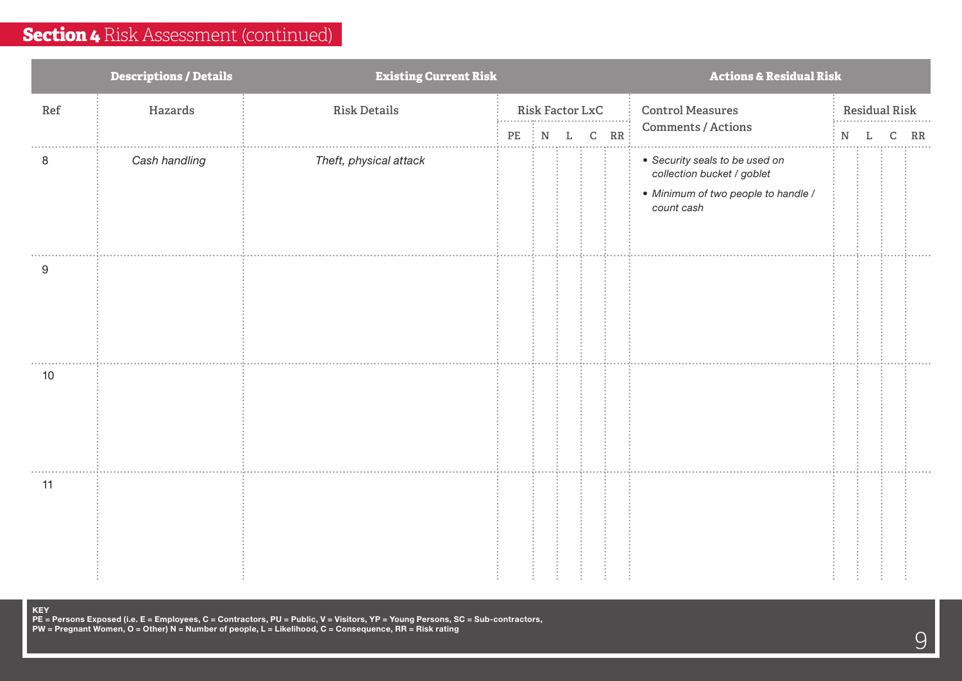|     | <b>Descriptions / Details</b> | <b>Existing Current Risk</b> | <b>Actions &amp; Residual Risk</b> |                           |   |               |     |                                                                                                                   |                      |  |   |    |  |
|-----|-------------------------------|------------------------------|------------------------------------|---------------------------|---|---------------|-----|-------------------------------------------------------------------------------------------------------------------|----------------------|--|---|----|--|
| Ref | Hazards                       | <b>Risk Details</b>          |                                    | <b>Risk Factor LxC</b>    |   |               |     | <b>Control Measures</b>                                                                                           | <b>Residual Risk</b> |  |   |    |  |
|     |                               |                              | $\rm PE$                           | ${\bf N}$<br>$\mathbb{R}$ | L | ${\mathsf C}$ | RR: | Comments / Actions                                                                                                | N                    |  | C | RR |  |
| 8   | Cash handling                 | Theft, physical attack       |                                    |                           |   |               |     | • Security seals to be used on<br>collection bucket / goblet<br>• Minimum of two people to handle /<br>count cash |                      |  |   |    |  |
| 9   |                               |                              |                                    |                           |   |               |     |                                                                                                                   |                      |  |   |    |  |
| 10  |                               |                              |                                    |                           |   |               |     |                                                                                                                   |                      |  |   |    |  |
| 11  |                               |                              |                                    |                           |   |               |     |                                                                                                                   |                      |  |   |    |  |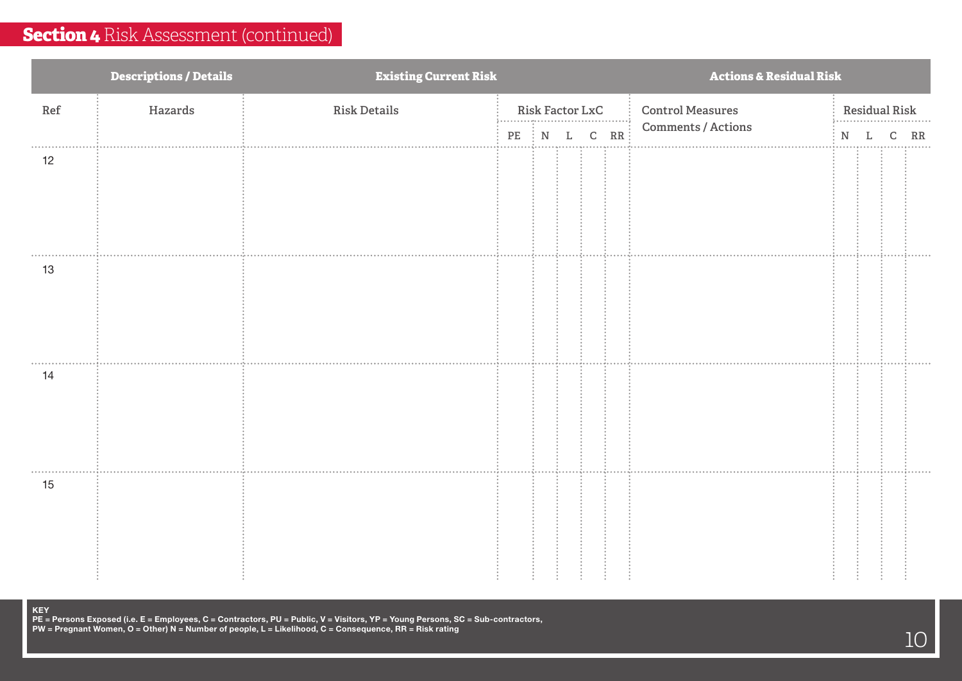|     | <b>Descriptions / Details</b> | <b>Existing Current Risk</b> | <b>Actions &amp; Residual Risk</b> |                 |   |   |     |                         |                           |   |   |    |
|-----|-------------------------------|------------------------------|------------------------------------|-----------------|---|---|-----|-------------------------|---------------------------|---|---|----|
| Ref | Hazards                       | <b>Risk Details</b>          |                                    | Risk Factor LxC |   |   |     | <b>Control Measures</b> | <b>Residual Risk</b><br>. |   |   |    |
|     |                               |                              | PE                                 | $\vdots$ N      | L | C | RR: | Comments / Actions      | N                         | L | C | RR |
| 12  |                               |                              |                                    |                 |   |   |     |                         |                           |   |   |    |
| 13  |                               |                              |                                    |                 |   |   |     |                         |                           |   |   |    |
| 14  |                               |                              |                                    |                 |   |   |     |                         |                           |   |   |    |
| 15  |                               |                              |                                    |                 |   |   |     |                         |                           |   |   |    |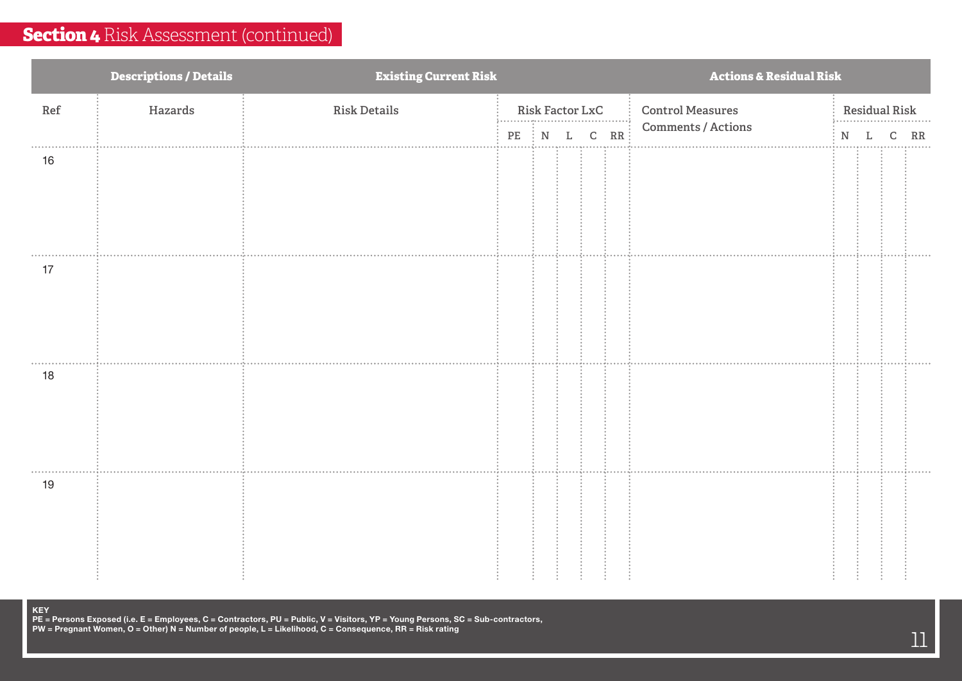|     | <b>Descriptions / Details</b> | <b>Existing Current Risk</b> | <b>Actions &amp; Residual Risk</b> |  |   |                 |     |                         |       |                           |   |    |  |
|-----|-------------------------------|------------------------------|------------------------------------|--|---|-----------------|-----|-------------------------|-------|---------------------------|---|----|--|
| Ref | Hazards                       | <b>Risk Details</b>          |                                    |  |   | Risk Factor LxC |     | <b>Control Measures</b> |       | <b>Residual Risk</b><br>. |   |    |  |
|     |                               |                              | $PE$ $\vdots$ $N$                  |  | L | ${\mathsf C}$   | RR: | Comments / Actions      | $N$ L |                           | C | RR |  |
| 16  |                               |                              |                                    |  |   |                 |     |                         |       |                           |   |    |  |
|     |                               |                              |                                    |  |   |                 |     |                         |       |                           |   |    |  |
|     |                               |                              |                                    |  |   |                 |     |                         |       |                           |   |    |  |
| 17  |                               |                              |                                    |  |   |                 |     |                         |       |                           |   |    |  |
|     |                               |                              |                                    |  |   |                 |     |                         |       |                           |   |    |  |
|     |                               |                              |                                    |  |   |                 |     |                         |       |                           |   |    |  |
|     |                               |                              |                                    |  |   |                 |     |                         |       |                           |   |    |  |
| 18  |                               |                              |                                    |  |   |                 |     |                         |       |                           |   |    |  |
|     |                               |                              |                                    |  |   |                 |     |                         |       |                           |   |    |  |
|     |                               |                              |                                    |  |   |                 |     |                         |       |                           |   |    |  |
| 19  |                               |                              |                                    |  |   |                 |     |                         |       |                           |   |    |  |
|     |                               |                              |                                    |  |   |                 |     |                         |       |                           |   |    |  |
|     |                               |                              |                                    |  |   |                 |     |                         |       |                           |   |    |  |
|     |                               |                              |                                    |  |   |                 |     |                         |       |                           |   |    |  |